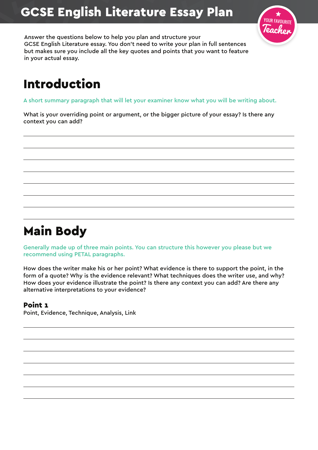# GCSE English Literature Essay Plan



Answer the questions below to help you plan and structure your GCSE English Literature essay. You don't need to write your plan in full sentences but makes sure you include all the key quotes and points that you want to feature in your actual essay.

# Introduction

A short summary paragraph that will let your examiner know what you will be writing about.

What is your overriding point or argument, or the bigger picture of your essay? Is there any context you can add?

## Main Body

Generally made up of three main points. You can structure this however you please but we recommend using PETAL paragraphs.

How does the writer make his or her point? What evidence is there to support the point, in the form of a quote? Why is the evidence relevant? What techniques does the writer use, and why? How does your evidence illustrate the point? Is there any context you can add? Are there any alternative interpretations to your evidence?

### Point 1

Point, Evidence, Technique, Analysis, Link